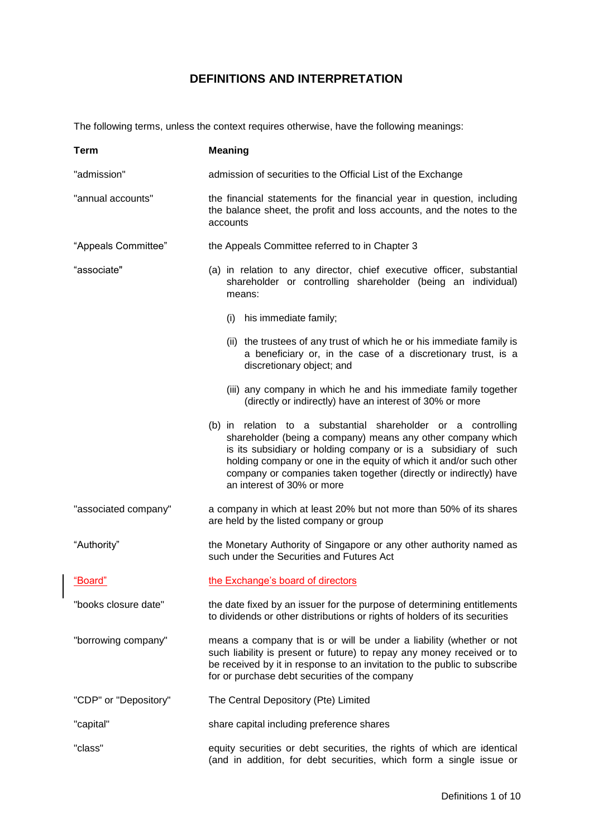## **DEFINITIONS AND INTERPRETATION**

The following terms, unless the context requires otherwise, have the following meanings:

| Term                  | <b>Meaning</b>                                                                                                                                                                                                                                                                                                                                                           |
|-----------------------|--------------------------------------------------------------------------------------------------------------------------------------------------------------------------------------------------------------------------------------------------------------------------------------------------------------------------------------------------------------------------|
| "admission"           | admission of securities to the Official List of the Exchange                                                                                                                                                                                                                                                                                                             |
| "annual accounts"     | the financial statements for the financial year in question, including<br>the balance sheet, the profit and loss accounts, and the notes to the<br>accounts                                                                                                                                                                                                              |
| "Appeals Committee"   | the Appeals Committee referred to in Chapter 3                                                                                                                                                                                                                                                                                                                           |
| "associate"           | (a) in relation to any director, chief executive officer, substantial<br>shareholder or controlling shareholder (being an individual)<br>means:                                                                                                                                                                                                                          |
|                       | his immediate family;<br>(i)                                                                                                                                                                                                                                                                                                                                             |
|                       | (ii) the trustees of any trust of which he or his immediate family is<br>a beneficiary or, in the case of a discretionary trust, is a<br>discretionary object; and                                                                                                                                                                                                       |
|                       | (iii) any company in which he and his immediate family together<br>(directly or indirectly) have an interest of 30% or more                                                                                                                                                                                                                                              |
|                       | (b) in relation to a substantial shareholder or a controlling<br>shareholder (being a company) means any other company which<br>is its subsidiary or holding company or is a subsidiary of such<br>holding company or one in the equity of which it and/or such other<br>company or companies taken together (directly or indirectly) have<br>an interest of 30% or more |
| "associated company"  | a company in which at least 20% but not more than 50% of its shares<br>are held by the listed company or group                                                                                                                                                                                                                                                           |
| "Authority"           | the Monetary Authority of Singapore or any other authority named as<br>such under the Securities and Futures Act                                                                                                                                                                                                                                                         |
| "Board"               | the Exchange's board of directors                                                                                                                                                                                                                                                                                                                                        |
| "books closure date"  | the date fixed by an issuer for the purpose of determining entitlements<br>to dividends or other distributions or rights of holders of its securities                                                                                                                                                                                                                    |
| "borrowing company"   | means a company that is or will be under a liability (whether or not<br>such liability is present or future) to repay any money received or to<br>be received by it in response to an invitation to the public to subscribe<br>for or purchase debt securities of the company                                                                                            |
| "CDP" or "Depository" | The Central Depository (Pte) Limited                                                                                                                                                                                                                                                                                                                                     |
| "capital"             | share capital including preference shares                                                                                                                                                                                                                                                                                                                                |
| "class"               | equity securities or debt securities, the rights of which are identical<br>(and in addition, for debt securities, which form a single issue or                                                                                                                                                                                                                           |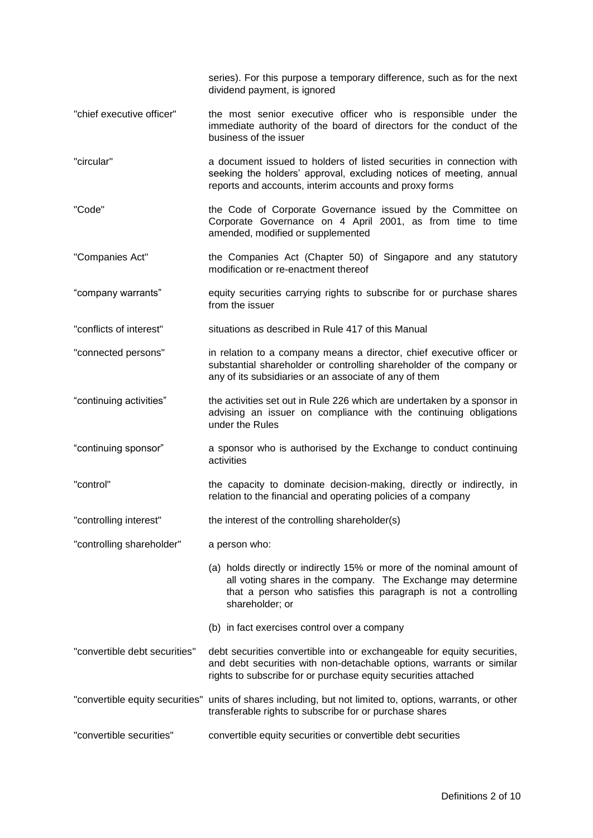series). For this purpose a temporary difference, such as for the next dividend payment, is ignored

- "chief executive officer" the most senior executive officer who is responsible under the immediate authority of the board of directors for the conduct of the business of the issuer
- "circular" a document issued to holders of listed securities in connection with seeking the holders' approval, excluding notices of meeting, annual reports and accounts, interim accounts and proxy forms
- "Code" the Code of Corporate Governance issued by the Committee on Corporate Governance on 4 April 2001, as from time to time amended, modified or supplemented
- "Companies Act" the Companies Act (Chapter 50) of Singapore and any statutory modification or re-enactment thereof
- "company warrants" equity securities carrying rights to subscribe for or purchase shares from the issuer
- "conflicts of interest" situations as described in Rule 417 of this Manual
- "connected persons" in relation to a company means a director, chief executive officer or substantial shareholder or controlling shareholder of the company or any of its subsidiaries or an associate of any of them
- "continuing activities" the activities set out in Rule 226 which are undertaken by a sponsor in advising an issuer on compliance with the continuing obligations under the Rules
- "continuing sponsor" a sponsor who is authorised by the Exchange to conduct continuing activities
- "control" the capacity to dominate decision-making, directly or indirectly, in relation to the financial and operating policies of a company
- "controlling interest" the interest of the controlling shareholder(s)
- "controlling shareholder" a person who:
	- (a) holds directly or indirectly 15% or more of the nominal amount of all voting shares in the company. The Exchange may determine that a person who satisfies this paragraph is not a controlling shareholder; or
	- (b) in fact exercises control over a company
- "convertible debt securities" debt securities convertible into or exchangeable for equity securities, and debt securities with non-detachable options, warrants or similar rights to subscribe for or purchase equity securities attached
- "convertible equity securities" units of shares including, but not limited to, options, warrants, or other transferable rights to subscribe for or purchase shares
- "convertible securities" convertible equity securities or convertible debt securities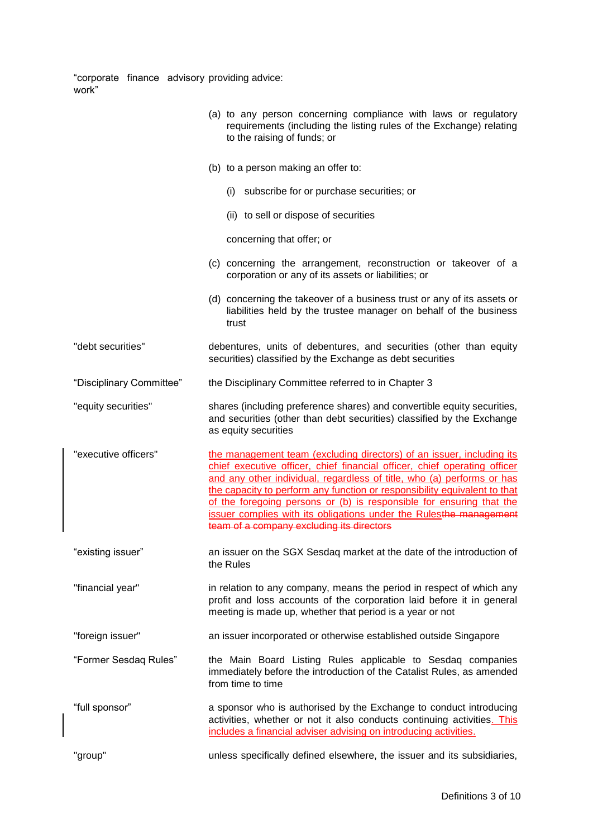"corporate finance advisory work" providing advice:

|                          | (a) to any person concerning compliance with laws or regulatory<br>requirements (including the listing rules of the Exchange) relating<br>to the raising of funds; or                                                                                                                                                                                                                                                                                                                                |
|--------------------------|------------------------------------------------------------------------------------------------------------------------------------------------------------------------------------------------------------------------------------------------------------------------------------------------------------------------------------------------------------------------------------------------------------------------------------------------------------------------------------------------------|
|                          | (b) to a person making an offer to:                                                                                                                                                                                                                                                                                                                                                                                                                                                                  |
|                          | (i) subscribe for or purchase securities; or                                                                                                                                                                                                                                                                                                                                                                                                                                                         |
|                          | (ii) to sell or dispose of securities                                                                                                                                                                                                                                                                                                                                                                                                                                                                |
|                          | concerning that offer; or                                                                                                                                                                                                                                                                                                                                                                                                                                                                            |
|                          | (c) concerning the arrangement, reconstruction or takeover of a<br>corporation or any of its assets or liabilities; or                                                                                                                                                                                                                                                                                                                                                                               |
|                          | (d) concerning the takeover of a business trust or any of its assets or<br>liabilities held by the trustee manager on behalf of the business<br>trust                                                                                                                                                                                                                                                                                                                                                |
| "debt securities"        | debentures, units of debentures, and securities (other than equity<br>securities) classified by the Exchange as debt securities                                                                                                                                                                                                                                                                                                                                                                      |
| "Disciplinary Committee" | the Disciplinary Committee referred to in Chapter 3                                                                                                                                                                                                                                                                                                                                                                                                                                                  |
| "equity securities"      | shares (including preference shares) and convertible equity securities,<br>and securities (other than debt securities) classified by the Exchange<br>as equity securities                                                                                                                                                                                                                                                                                                                            |
| "executive officers"     | the management team (excluding directors) of an issuer, including its<br>chief executive officer, chief financial officer, chief operating officer<br>and any other individual, regardless of title, who (a) performs or has<br>the capacity to perform any function or responsibility equivalent to that<br>of the foregoing persons or (b) is responsible for ensuring that the<br>issuer complies with its obligations under the Rulesthe management<br>team of a company excluding its directors |
| "existing issuer"        | an issuer on the SGX Sesdaq market at the date of the introduction of<br>the Rules                                                                                                                                                                                                                                                                                                                                                                                                                   |
| "financial year"         | in relation to any company, means the period in respect of which any<br>profit and loss accounts of the corporation laid before it in general<br>meeting is made up, whether that period is a year or not                                                                                                                                                                                                                                                                                            |
| "foreign issuer"         | an issuer incorporated or otherwise established outside Singapore                                                                                                                                                                                                                                                                                                                                                                                                                                    |
| "Former Sesdaq Rules"    | the Main Board Listing Rules applicable to Sesdaq companies<br>immediately before the introduction of the Catalist Rules, as amended<br>from time to time                                                                                                                                                                                                                                                                                                                                            |
| "full sponsor"           | a sponsor who is authorised by the Exchange to conduct introducing<br>activities, whether or not it also conducts continuing activities. This<br>includes a financial adviser advising on introducing activities.                                                                                                                                                                                                                                                                                    |
| "group"                  | unless specifically defined elsewhere, the issuer and its subsidiaries,                                                                                                                                                                                                                                                                                                                                                                                                                              |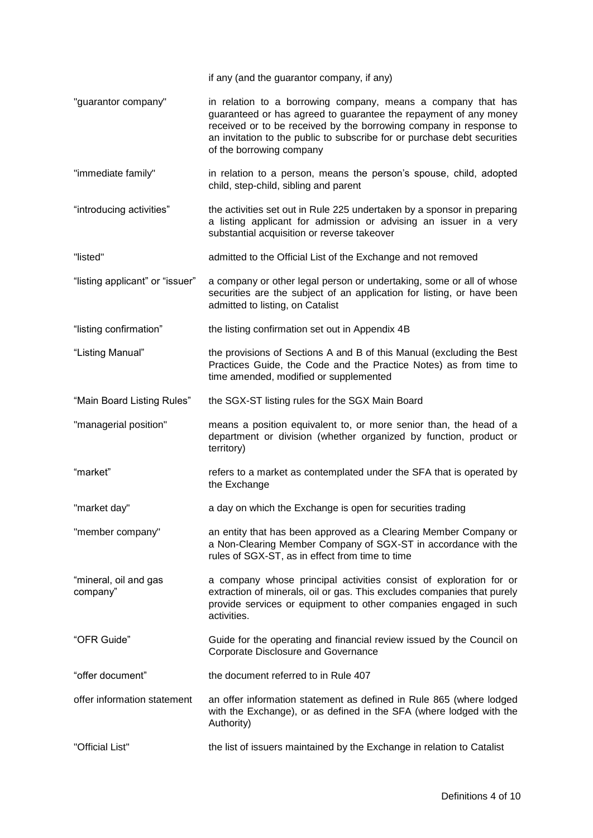|                                   | if any (and the guarantor company, if any)                                                                                                                                                                                                                                                                     |
|-----------------------------------|----------------------------------------------------------------------------------------------------------------------------------------------------------------------------------------------------------------------------------------------------------------------------------------------------------------|
| "guarantor company"               | in relation to a borrowing company, means a company that has<br>guaranteed or has agreed to guarantee the repayment of any money<br>received or to be received by the borrowing company in response to<br>an invitation to the public to subscribe for or purchase debt securities<br>of the borrowing company |
| "immediate family"                | in relation to a person, means the person's spouse, child, adopted<br>child, step-child, sibling and parent                                                                                                                                                                                                    |
| "introducing activities"          | the activities set out in Rule 225 undertaken by a sponsor in preparing<br>a listing applicant for admission or advising an issuer in a very<br>substantial acquisition or reverse takeover                                                                                                                    |
| "listed"                          | admitted to the Official List of the Exchange and not removed                                                                                                                                                                                                                                                  |
| "listing applicant" or "issuer"   | a company or other legal person or undertaking, some or all of whose<br>securities are the subject of an application for listing, or have been<br>admitted to listing, on Catalist                                                                                                                             |
| "listing confirmation"            | the listing confirmation set out in Appendix 4B                                                                                                                                                                                                                                                                |
| "Listing Manual"                  | the provisions of Sections A and B of this Manual (excluding the Best<br>Practices Guide, the Code and the Practice Notes) as from time to<br>time amended, modified or supplemented                                                                                                                           |
| "Main Board Listing Rules"        | the SGX-ST listing rules for the SGX Main Board                                                                                                                                                                                                                                                                |
| "managerial position"             | means a position equivalent to, or more senior than, the head of a<br>department or division (whether organized by function, product or<br>territory)                                                                                                                                                          |
| "market"                          | refers to a market as contemplated under the SFA that is operated by<br>the Exchange                                                                                                                                                                                                                           |
| "market day"                      | a day on which the Exchange is open for securities trading                                                                                                                                                                                                                                                     |
| "member company"                  | an entity that has been approved as a Clearing Member Company or<br>a Non-Clearing Member Company of SGX-ST in accordance with the<br>rules of SGX-ST, as in effect from time to time                                                                                                                          |
| "mineral, oil and gas<br>company" | a company whose principal activities consist of exploration for or<br>extraction of minerals, oil or gas. This excludes companies that purely<br>provide services or equipment to other companies engaged in such<br>activities.                                                                               |
| "OFR Guide"                       | Guide for the operating and financial review issued by the Council on<br>Corporate Disclosure and Governance                                                                                                                                                                                                   |
| "offer document"                  | the document referred to in Rule 407                                                                                                                                                                                                                                                                           |
| offer information statement       | an offer information statement as defined in Rule 865 (where lodged<br>with the Exchange), or as defined in the SFA (where lodged with the<br>Authority)                                                                                                                                                       |
| "Official List"                   | the list of issuers maintained by the Exchange in relation to Catalist                                                                                                                                                                                                                                         |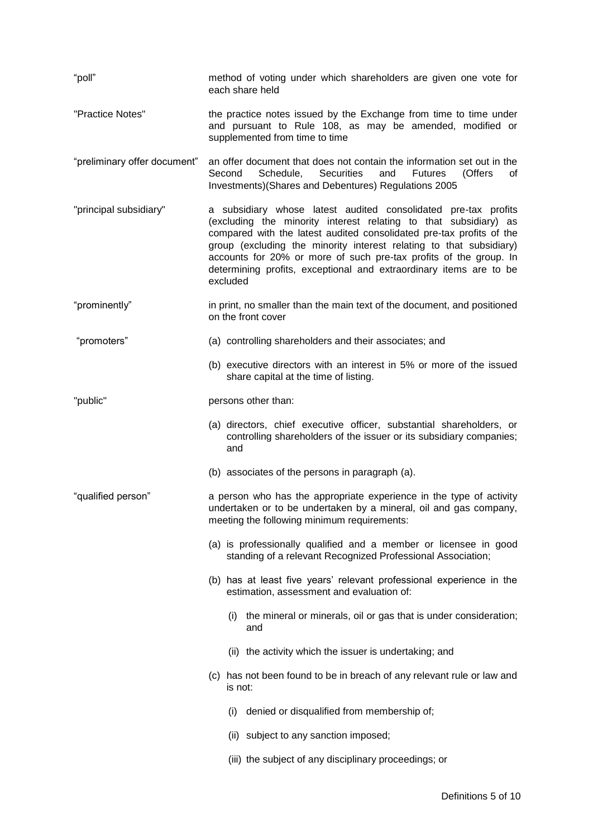| "poll"                       | method of voting under which shareholders are given one vote for<br>each share held                                                                                                                                                                                                                                                                                                                                                      |
|------------------------------|------------------------------------------------------------------------------------------------------------------------------------------------------------------------------------------------------------------------------------------------------------------------------------------------------------------------------------------------------------------------------------------------------------------------------------------|
| "Practice Notes"             | the practice notes issued by the Exchange from time to time under<br>and pursuant to Rule 108, as may be amended, modified or<br>supplemented from time to time                                                                                                                                                                                                                                                                          |
| "preliminary offer document" | an offer document that does not contain the information set out in the<br>Schedule,<br><b>Securities</b><br>Second<br>and<br><b>Futures</b><br>(Offers<br>0f<br>Investments)(Shares and Debentures) Regulations 2005                                                                                                                                                                                                                     |
| "principal subsidiary"       | a subsidiary whose latest audited consolidated pre-tax profits<br>(excluding the minority interest relating to that subsidiary) as<br>compared with the latest audited consolidated pre-tax profits of the<br>group (excluding the minority interest relating to that subsidiary)<br>accounts for 20% or more of such pre-tax profits of the group. In<br>determining profits, exceptional and extraordinary items are to be<br>excluded |
| "prominently"                | in print, no smaller than the main text of the document, and positioned<br>on the front cover                                                                                                                                                                                                                                                                                                                                            |
| "promoters"                  | (a) controlling shareholders and their associates; and                                                                                                                                                                                                                                                                                                                                                                                   |
|                              | (b) executive directors with an interest in 5% or more of the issued<br>share capital at the time of listing.                                                                                                                                                                                                                                                                                                                            |
| "public"                     | persons other than:                                                                                                                                                                                                                                                                                                                                                                                                                      |
|                              | (a) directors, chief executive officer, substantial shareholders, or<br>controlling shareholders of the issuer or its subsidiary companies;<br>and                                                                                                                                                                                                                                                                                       |
|                              | (b) associates of the persons in paragraph (a).                                                                                                                                                                                                                                                                                                                                                                                          |
| "qualified person"           | a person who has the appropriate experience in the type of activity<br>undertaken or to be undertaken by a mineral, oil and gas company,<br>meeting the following minimum requirements:                                                                                                                                                                                                                                                  |
|                              | (a) is professionally qualified and a member or licensee in good<br>standing of a relevant Recognized Professional Association;                                                                                                                                                                                                                                                                                                          |
|                              | (b) has at least five years' relevant professional experience in the<br>estimation, assessment and evaluation of:                                                                                                                                                                                                                                                                                                                        |
|                              | the mineral or minerals, oil or gas that is under consideration;<br>(i)<br>and                                                                                                                                                                                                                                                                                                                                                           |
|                              | (ii) the activity which the issuer is undertaking; and                                                                                                                                                                                                                                                                                                                                                                                   |
|                              | (c) has not been found to be in breach of any relevant rule or law and<br>is not:                                                                                                                                                                                                                                                                                                                                                        |
|                              | denied or disqualified from membership of;<br>(i)                                                                                                                                                                                                                                                                                                                                                                                        |
|                              | (ii) subject to any sanction imposed;                                                                                                                                                                                                                                                                                                                                                                                                    |
|                              | (iii) the subject of any disciplinary proceedings; or                                                                                                                                                                                                                                                                                                                                                                                    |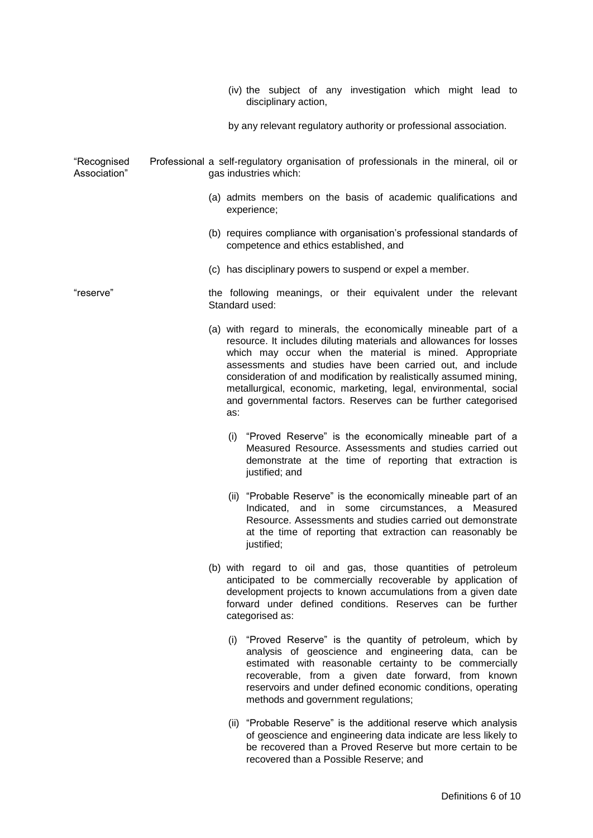|                             | (iv) the subject of any investigation which might lead to<br>disciplinary action,                                                                                                                                                                                                                                                                                                                                                                                                 |
|-----------------------------|-----------------------------------------------------------------------------------------------------------------------------------------------------------------------------------------------------------------------------------------------------------------------------------------------------------------------------------------------------------------------------------------------------------------------------------------------------------------------------------|
|                             | by any relevant regulatory authority or professional association.                                                                                                                                                                                                                                                                                                                                                                                                                 |
| "Recognised<br>Association" | Professional a self-regulatory organisation of professionals in the mineral, oil or<br>gas industries which:                                                                                                                                                                                                                                                                                                                                                                      |
|                             | (a) admits members on the basis of academic qualifications and<br>experience;                                                                                                                                                                                                                                                                                                                                                                                                     |
|                             | (b) requires compliance with organisation's professional standards of<br>competence and ethics established, and                                                                                                                                                                                                                                                                                                                                                                   |
|                             | (c) has disciplinary powers to suspend or expel a member.                                                                                                                                                                                                                                                                                                                                                                                                                         |
| "reserve"                   | the following meanings, or their equivalent under the relevant<br>Standard used:                                                                                                                                                                                                                                                                                                                                                                                                  |
|                             | (a) with regard to minerals, the economically mineable part of a<br>resource. It includes diluting materials and allowances for losses<br>which may occur when the material is mined. Appropriate<br>assessments and studies have been carried out, and include<br>consideration of and modification by realistically assumed mining,<br>metallurgical, economic, marketing, legal, environmental, social<br>and governmental factors. Reserves can be further categorised<br>as: |
|                             | (i) "Proved Reserve" is the economically mineable part of a<br>Measured Resource. Assessments and studies carried out<br>demonstrate at the time of reporting that extraction is<br>justified; and                                                                                                                                                                                                                                                                                |
|                             | (ii) "Probable Reserve" is the economically mineable part of an<br>Indicated, and in some circumstances, a Measured<br>Resource. Assessments and studies carried out demonstrate<br>at the time of reporting that extraction can reasonably be<br>justified;                                                                                                                                                                                                                      |
|                             | (b) with regard to oil and gas, those quantities of petroleum<br>anticipated to be commercially recoverable by application of<br>development projects to known accumulations from a given date<br>forward under defined conditions. Reserves can be further<br>categorised as:                                                                                                                                                                                                    |
|                             | (i) "Proved Reserve" is the quantity of petroleum, which by<br>analysis of geoscience and engineering data, can be<br>estimated with reasonable certainty to be commercially<br>recoverable, from a given date forward, from known<br>reservoirs and under defined economic conditions, operating<br>methods and government regulations;                                                                                                                                          |
|                             | (ii) "Probable Reserve" is the additional reserve which analysis<br>of geoscience and engineering data indicate are less likely to<br>be recovered than a Proved Reserve but more certain to be                                                                                                                                                                                                                                                                                   |

recovered than a Possible Reserve; and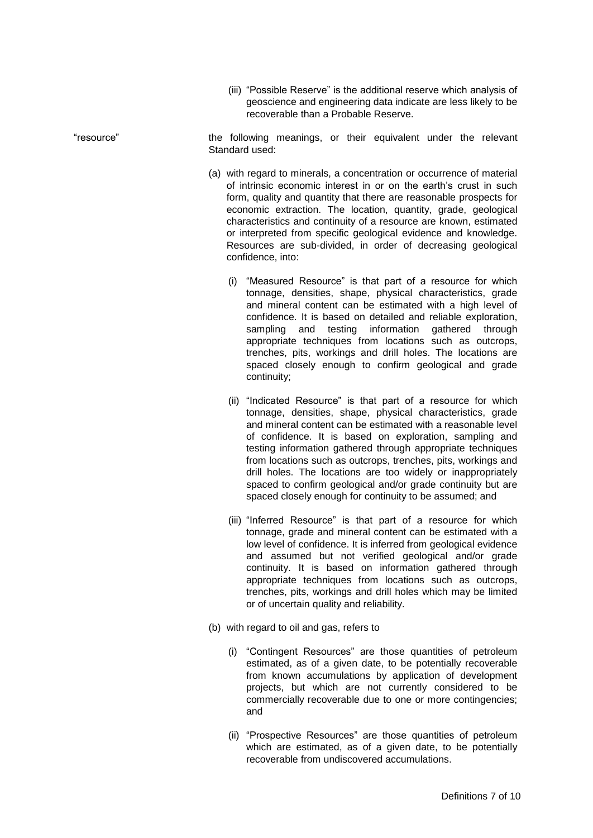(iii) "Possible Reserve" is the additional reserve which analysis of geoscience and engineering data indicate are less likely to be recoverable than a Probable Reserve.

"resource" the following meanings, or their equivalent under the relevant Standard used:

- (a) with regard to minerals, a concentration or occurrence of material of intrinsic economic interest in or on the earth's crust in such form, quality and quantity that there are reasonable prospects for economic extraction. The location, quantity, grade, geological characteristics and continuity of a resource are known, estimated or interpreted from specific geological evidence and knowledge. Resources are sub-divided, in order of decreasing geological confidence, into:
	- (i) "Measured Resource" is that part of a resource for which tonnage, densities, shape, physical characteristics, grade and mineral content can be estimated with a high level of confidence. It is based on detailed and reliable exploration, sampling and testing information gathered through appropriate techniques from locations such as outcrops, trenches, pits, workings and drill holes. The locations are spaced closely enough to confirm geological and grade continuity;
	- (ii) "Indicated Resource" is that part of a resource for which tonnage, densities, shape, physical characteristics, grade and mineral content can be estimated with a reasonable level of confidence. It is based on exploration, sampling and testing information gathered through appropriate techniques from locations such as outcrops, trenches, pits, workings and drill holes. The locations are too widely or inappropriately spaced to confirm geological and/or grade continuity but are spaced closely enough for continuity to be assumed; and
	- (iii) "Inferred Resource" is that part of a resource for which tonnage, grade and mineral content can be estimated with a low level of confidence. It is inferred from geological evidence and assumed but not verified geological and/or grade continuity. It is based on information gathered through appropriate techniques from locations such as outcrops, trenches, pits, workings and drill holes which may be limited or of uncertain quality and reliability.
- (b) with regard to oil and gas, refers to
	- (i) "Contingent Resources" are those quantities of petroleum estimated, as of a given date, to be potentially recoverable from known accumulations by application of development projects, but which are not currently considered to be commercially recoverable due to one or more contingencies; and
	- (ii) "Prospective Resources" are those quantities of petroleum which are estimated, as of a given date, to be potentially recoverable from undiscovered accumulations.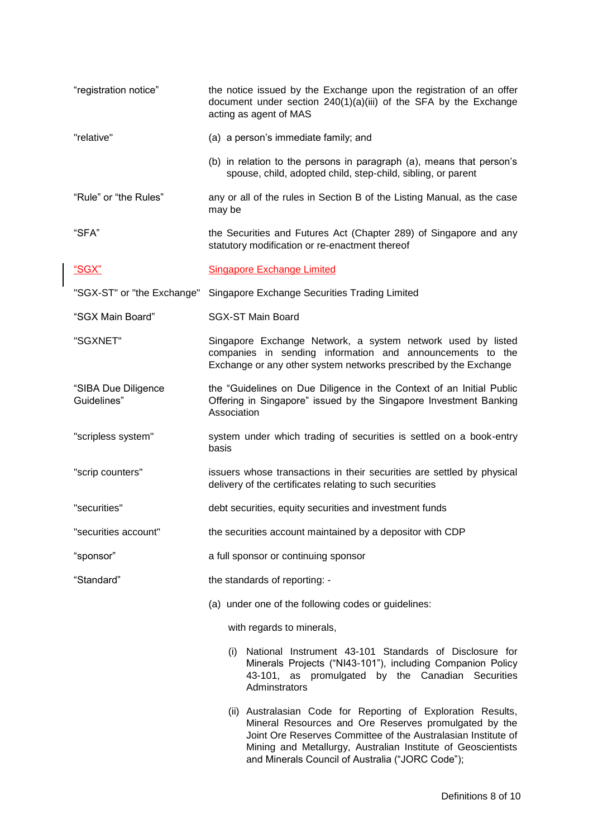| "registration notice"              | the notice issued by the Exchange upon the registration of an offer<br>document under section 240(1)(a)(iii) of the SFA by the Exchange<br>acting as agent of MAS                                                                                                                                          |
|------------------------------------|------------------------------------------------------------------------------------------------------------------------------------------------------------------------------------------------------------------------------------------------------------------------------------------------------------|
| "relative"                         | (a) a person's immediate family; and                                                                                                                                                                                                                                                                       |
|                                    | (b) in relation to the persons in paragraph (a), means that person's<br>spouse, child, adopted child, step-child, sibling, or parent                                                                                                                                                                       |
| "Rule" or "the Rules"              | any or all of the rules in Section B of the Listing Manual, as the case<br>may be                                                                                                                                                                                                                          |
| "SFA"                              | the Securities and Futures Act (Chapter 289) of Singapore and any<br>statutory modification or re-enactment thereof                                                                                                                                                                                        |
| <u> "SGX"</u>                      | <b>Singapore Exchange Limited</b>                                                                                                                                                                                                                                                                          |
| "SGX-ST" or "the Exchange"         | Singapore Exchange Securities Trading Limited                                                                                                                                                                                                                                                              |
| "SGX Main Board"                   | <b>SGX-ST Main Board</b>                                                                                                                                                                                                                                                                                   |
| "SGXNET"                           | Singapore Exchange Network, a system network used by listed<br>companies in sending information and announcements to the<br>Exchange or any other system networks prescribed by the Exchange                                                                                                               |
| "SIBA Due Diligence<br>Guidelines" | the "Guidelines on Due Diligence in the Context of an Initial Public<br>Offering in Singapore" issued by the Singapore Investment Banking<br>Association                                                                                                                                                   |
| "scripless system"                 | system under which trading of securities is settled on a book-entry<br>basis                                                                                                                                                                                                                               |
| "scrip counters"                   | issuers whose transactions in their securities are settled by physical<br>delivery of the certificates relating to such securities                                                                                                                                                                         |
| "securities"                       | debt securities, equity securities and investment funds                                                                                                                                                                                                                                                    |
| "securities account"               | the securities account maintained by a depositor with CDP                                                                                                                                                                                                                                                  |
| "sponsor"                          | a full sponsor or continuing sponsor                                                                                                                                                                                                                                                                       |
| "Standard"                         | the standards of reporting: -                                                                                                                                                                                                                                                                              |
|                                    | (a) under one of the following codes or guidelines:                                                                                                                                                                                                                                                        |
|                                    | with regards to minerals,                                                                                                                                                                                                                                                                                  |
|                                    | National Instrument 43-101 Standards of Disclosure for<br>(i)<br>Minerals Projects ("NI43-101"), including Companion Policy<br>43-101, as promulgated by the Canadian Securities<br>Adminstrators                                                                                                          |
|                                    | (ii) Australasian Code for Reporting of Exploration Results,<br>Mineral Resources and Ore Reserves promulgated by the<br>Joint Ore Reserves Committee of the Australasian Institute of<br>Mining and Metallurgy, Australian Institute of Geoscientists<br>and Minerals Council of Australia ("JORC Code"); |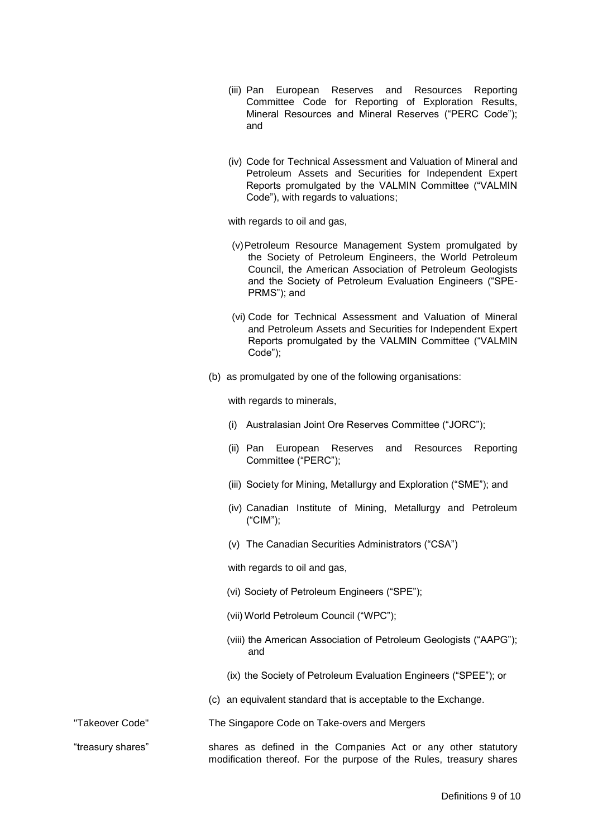- (iii) Pan European Reserves and Resources Reporting Committee Code for Reporting of Exploration Results, Mineral Resources and Mineral Reserves ("PERC Code"); and
- (iv) Code for Technical Assessment and Valuation of Mineral and Petroleum Assets and Securities for Independent Expert Reports promulgated by the VALMIN Committee ("VALMIN Code"), with regards to valuations;

with regards to oil and gas,

- (v)Petroleum Resource Management System promulgated by the Society of Petroleum Engineers, the World Petroleum Council, the American Association of Petroleum Geologists and the Society of Petroleum Evaluation Engineers ("SPE-PRMS"); and
- (vi) Code for Technical Assessment and Valuation of Mineral and Petroleum Assets and Securities for Independent Expert Reports promulgated by the VALMIN Committee ("VALMIN Code");
- (b) as promulgated by one of the following organisations:

with regards to minerals,

- (i) Australasian Joint Ore Reserves Committee ("JORC");
- (ii) Pan European Reserves and Resources Reporting Committee ("PERC");
- (iii) Society for Mining, Metallurgy and Exploration ("SME"); and
- (iv) Canadian Institute of Mining, Metallurgy and Petroleum ("CIM");
- (v) The Canadian Securities Administrators ("CSA")

with regards to oil and gas,

- (vi) Society of Petroleum Engineers ("SPE");
- (vii) World Petroleum Council ("WPC");
- (viii) the American Association of Petroleum Geologists ("AAPG"); and
- (ix) the Society of Petroleum Evaluation Engineers ("SPEE"); or
- (c) an equivalent standard that is acceptable to the Exchange.
- "Takeover Code" The Singapore Code on Take-overs and Mergers

"treasury shares" shares as defined in the Companies Act or any other statutory modification thereof. For the purpose of the Rules, treasury shares